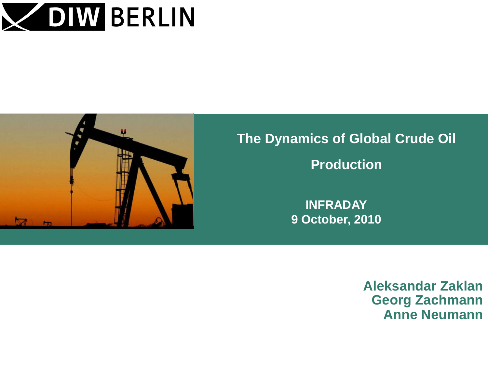



# **The Dynamics of Global Crude Oil Production**

**INFRADAY 9 October, 2010**

> **Aleksandar Zaklan Georg Zachmann Anne Neumann**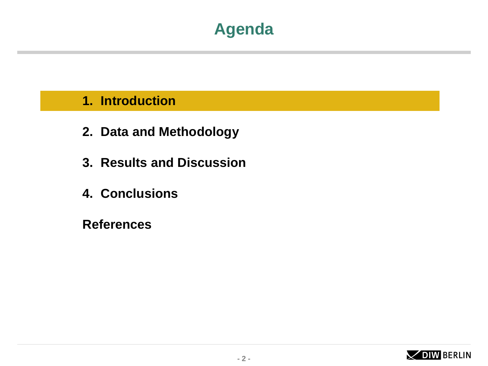## **Agenda**

#### **1. Introduction**

- **2. Data and Methodology**
- **3. Results and Discussion**
- **4. Conclusions**

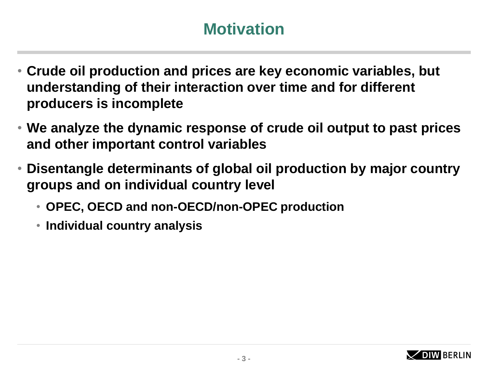# **Motivation**

- **Crude oil production and prices are key economic variables, but understanding of their interaction over time and for different producers is incomplete**
- **We analyze the dynamic response of crude oil output to past prices and other important control variables**
- **Disentangle determinants of global oil production by major country groups and on individual country level** 
	- **OPEC, OECD and non-OECD/non-OPEC production**
	- **Individual country analysis**

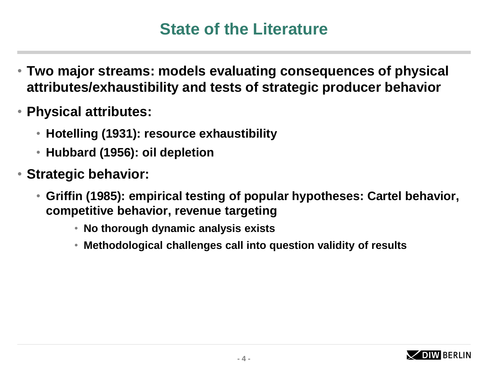## **State of the Literature**

- **Two major streams: models evaluating consequences of physical attributes/exhaustibility and tests of strategic producer behavior**
- **Physical attributes:** 
	- **Hotelling (1931): resource exhaustibility**
	- **Hubbard (1956): oil depletion**
- **Strategic behavior:** 
	- **Griffin (1985): empirical testing of popular hypotheses: Cartel behavior, competitive behavior, revenue targeting** 
		- **No thorough dynamic analysis exists**
		- **Methodological challenges call into question validity of results**

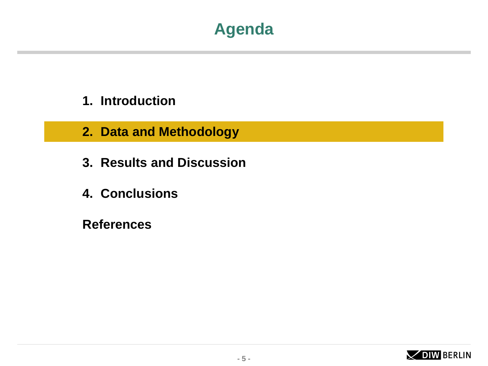## **Agenda**

- **1. Introduction**
- **2. Data and Methodology**
- **3. Results and Discussion**
- **4. Conclusions**

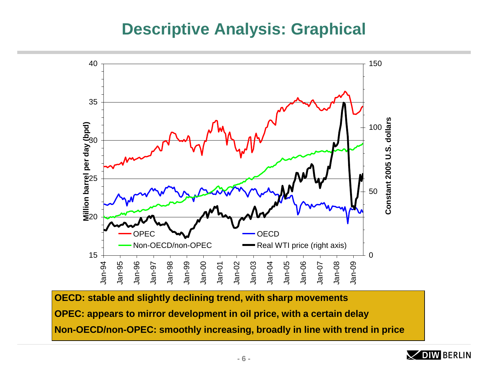### **Descriptive Analysis: Graphical**



**OECD: stable and slightly declining trend, with sharp movements OPEC: appears to mirror development in oil price, with a certain delay Non-OECD/non-OPEC: smoothly increasing, broadly in line with trend in price**

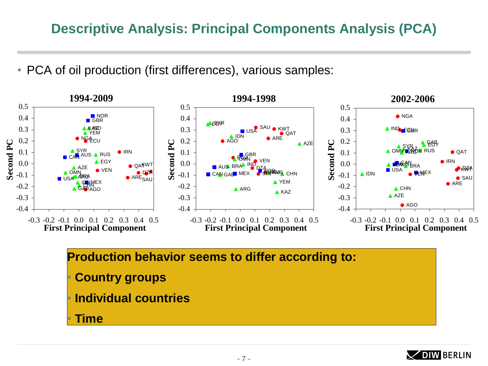• PCA of oil production (first differences), various samples:



**Production behavior seems to differ according to:**  • **Country groups** • **Individual countries Time** 

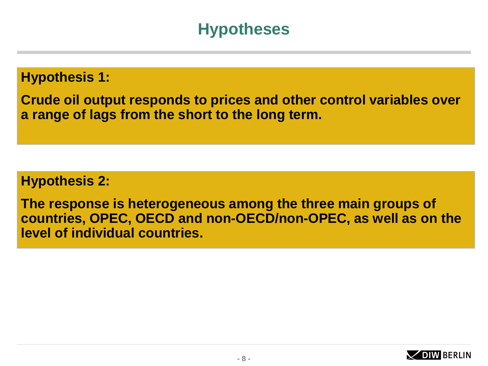## **Hypotheses**

**Hypothesis 1:** 

**Crude oil output responds to prices and other control variables over a range of lags from the short to the long term.**

**Hypothesis 2:** 

**The response is heterogeneous among the three main groups of countries, OPEC, OECD and non-OECD/non-OPEC, as well as on the level of individual countries.** 

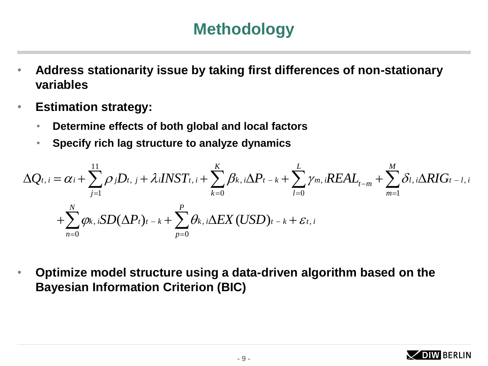# **Methodology**

- **Address stationarity issue by taking first differences of non-stationary variables**
- **Estimation strategy:** 
	- **Determine effects of both global and local factors**
	- **Specify rich lag structure to analyze dynamics**

**Estimation strategy:**  
\n• Determine effects of both global and local factors  
\n• Specify rich lag structure to analyze dynamics  
\n
$$
\Delta Q_{t,i} = \alpha_i + \sum_{j=1}^{11} \rho_j D_{t,j} + \lambda_i INST_{t,i} + \sum_{k=0}^{K} \beta_{k,i} \Delta P_{t-k} + \sum_{l=0}^{L} \gamma_{m,i} REAL_{t-m} + \sum_{m=1}^{M} \delta_{l,i} \Delta RIG_{t-l,i}
$$
\n
$$
+ \sum_{n=0}^{N} \varphi_{k,i} SD(\Delta P_{t})_{t-k} + \sum_{p=0}^{P} \theta_{k,i} \Delta EX (USD)_{t-k} + \varepsilon_{t,i}
$$

• **Optimize model structure using a data-driven algorithm based on the Bayesian Information Criterion (BIC)**

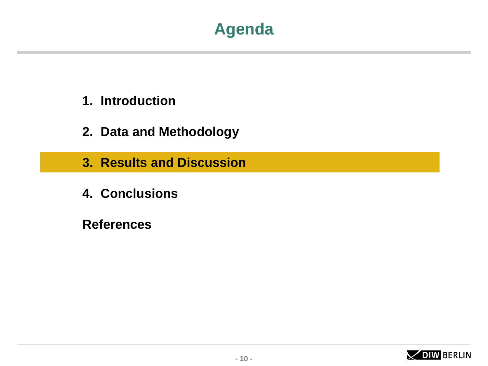

- **1. Introduction**
- **2. Data and Methodology**
- **3. Results and Discussion**
- **4. Conclusions**

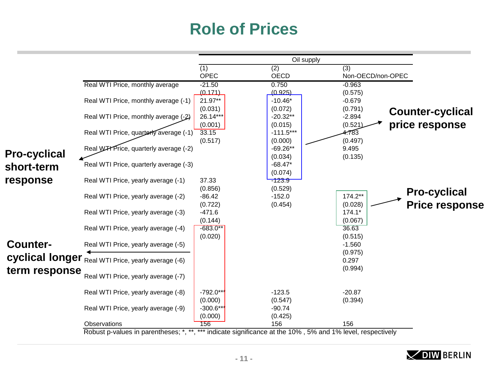# **Role of Prices**

|                     |                                                            | Oil supply             |                                                                 |                                                                  |                       |
|---------------------|------------------------------------------------------------|------------------------|-----------------------------------------------------------------|------------------------------------------------------------------|-----------------------|
|                     |                                                            | (1)<br><b>OPEC</b>     | (2)<br><b>OECD</b>                                              | (3)<br>Non-OECD/non-OPEC                                         |                       |
|                     | Real WTI Price, monthly average                            | $-21.50$<br>(0.171)    | 0.750<br>(0.925)                                                | $-0.963$<br>(0.575)                                              |                       |
|                     | Real WTI Price, monthly average (-1)                       | 21.97**<br>(0.031)     | $-10.46*$<br>(0.072)                                            | $-0.679$<br>(0.791)                                              |                       |
|                     | Real WTI Price, monthly average (-2)                       | 26.14***<br>(0.001)    | $-20.32**$<br>(0.015)                                           | <b>Counter-cyclical</b><br>$-2.894$<br>price response<br>(0.521) |                       |
|                     | Real WTI Price, quarterly average (-1)                     | 33.15<br>(0.517)       | $-111.5***$<br>(0.000)                                          | 4.783<br>(0.497)                                                 |                       |
| <b>Pro-cyclical</b> | Real W <sub>H</sub> Price, quarterly average (-2)          |                        | $-69.26**$<br>(0.034)                                           | 9.495<br>(0.135)                                                 |                       |
| short-term          | Real WTI Price, quarterly average (-3)                     |                        | $-68.47*$<br>(0.074)                                            |                                                                  |                       |
| response            | Real WTI Price, yearly average (-1)                        | 37.33<br>(0.856)       | $-123.9$<br>(0.529)                                             |                                                                  | <b>Pro-cyclical</b>   |
|                     | Real WTI Price, yearly average (-2)                        | $-86.42$<br>(0.722)    | $-152.0$<br>(0.454)                                             | 174.2**<br>(0.028)                                               | <b>Price response</b> |
|                     | Real WTI Price, yearly average (-3)                        | $-471.6$<br>(0.144)    |                                                                 | $174.1*$<br>(0.067)                                              |                       |
|                     | Real WTI Price, yearly average (-4)                        | $-683.0**$<br>(0.020)  |                                                                 | 36.63<br>(0.515)                                                 |                       |
| <b>Counter-</b>     | Real WTI Price, yearly average (-5)                        |                        |                                                                 | $-1.560$<br>(0.975)                                              |                       |
| term response       | <b>cyclical longer</b> Real WTI Price, yearly average (-6) |                        |                                                                 | 0.297<br>(0.994)                                                 |                       |
|                     | Real WTI Price, yearly average (-7)                        |                        |                                                                 |                                                                  |                       |
|                     | Real WTI Price, yearly average (-8)                        | $-792.0**$<br>(0.000)  | $-123.5$<br>(0.547)                                             | $-20.87$<br>(0.394)                                              |                       |
|                     | Real WTI Price, yearly average (-9)                        | $-300.6***$<br>(0.000) | $-90.74$<br>(0.425)                                             |                                                                  |                       |
|                     | Observations                                               | 156                    | 156                                                             | 156                                                              |                       |
|                     | Robust p-values in parentheses; *, **,                     |                        | indicate significance at the 10%, 5% and 1% level, respectively |                                                                  |                       |

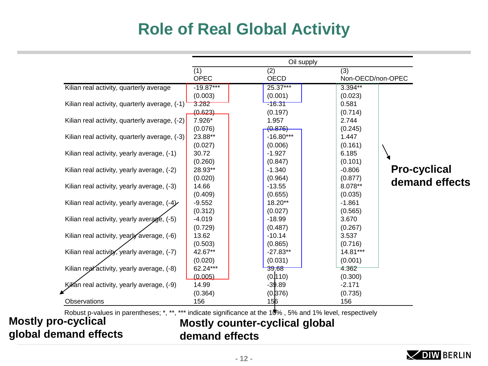# **Role of Real Global Activity**

|                                               |             | Oil supply  |                   |                     |
|-----------------------------------------------|-------------|-------------|-------------------|---------------------|
|                                               | (1)         | (2)         | (3)               |                     |
|                                               | OPEC        | <b>OECD</b> | Non-OECD/non-OPEC |                     |
| Kilian real activity, quarterly average       | $-19.87***$ | 25.37***    | 3.394**           |                     |
|                                               | (0.003)     | (0.001)     | (0.023)           |                     |
| Kilian real activity, quarterly average, (-1) | 3.282       | $-16.31$    | 0.581             |                     |
|                                               | (0.623)     | (0.197)     | (0.714)           |                     |
| Kilian real activity, quarterly average, (-2) | 7.926*      | 1.957       | 2.744             |                     |
|                                               | (0.076)     | (0.876)     | (0.245)           |                     |
| Kilian real activity, quarterly average, (-3) | 23.88**     | $-16.80***$ | 1.447             |                     |
|                                               | (0.027)     | (0.006)     | (0.161)           |                     |
| Kilian real activity, yearly average, (-1)    | 30.72       | $-1.927$    | 6.185             |                     |
|                                               | (0.260)     | (0.847)     | (0.101)           |                     |
| Kilian real activity, yearly average, (-2)    | 28.93**     | $-1.340$    | $-0.806$          | <b>Pro-cyclical</b> |
|                                               | (0.020)     | (0.964)     | (0.877)           |                     |
| Kilian real activity, yearly average, (-3)    | 14.66       | $-13.55$    | 8.078**           | demand effects      |
|                                               | (0.409)     | (0.655)     | (0.035)           |                     |
| Kilian real activity, yearly average, $(-4)$  | $-9.552$    | 18.20**     | $-1.861$          |                     |
|                                               | (0.312)     | (0.027)     | (0.565)           |                     |
| Kilian real activity, yearly average, (-5)    | $-4.019$    | $-18.99$    | 3.670             |                     |
|                                               | (0.729)     | (0.487)     | (0.267)           |                     |
| Kilian real activity, yearly average, (-6)    | 13.62       | $-10.14$    | 3.537             |                     |
|                                               | (0.503)     | (0.865)     | (0.716)           |                     |
| Kilian real activity, yearly average, (-7)    | 42.67**     | $-27.83**$  | 14.81***          |                     |
|                                               | (0.020)     | (0.031)     | (0.001)           |                     |
| Kilian real activity, yearly average, (-8)    | 62.24***    | 39.68       | 4.362             |                     |
|                                               | (0.005)     | (0.1110)    | (0.300)           |                     |
| Killan real activity, yearly average, (-9)    | 14.99       | $-39.89$    | $-2.171$          |                     |
|                                               | (0.364)     | (0.376)     | (0.735)           |                     |
| Observations                                  | 156         | 156         | 156               |                     |

indicate significance at the 10%, 5% and 1% level, respectively

**Mostly pro-cyclical**<br>**Mostly pro-cyclical global demand effects**

**Mostly counter-cyclical global demand effects**

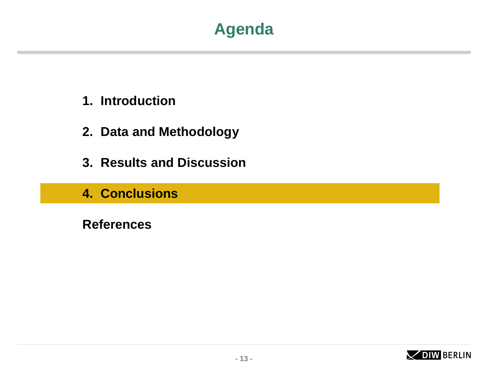## **Agenda**

- **1. Introduction**
- **2. Data and Methodology**
- **3. Results and Discussion**
- **4. Conclusions**

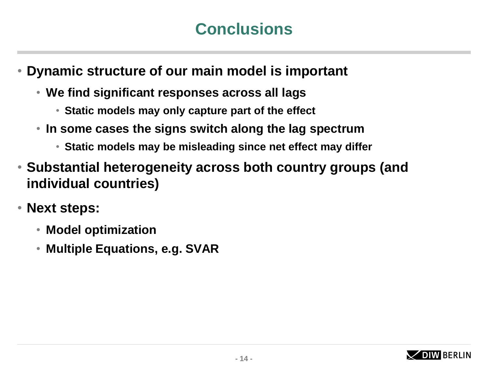# **Conclusions**

• **Dynamic structure of our main model is important** 

- **We find significant responses across all lags**
	- **Static models may only capture part of the effect**
- **In some cases the signs switch along the lag spectrum**
	- **Static models may be misleading since net effect may differ**
- **Substantial heterogeneity across both country groups (and individual countries)**
- **Next steps:** 
	- **Model optimization**
	- **Multiple Equations, e.g. SVAR**

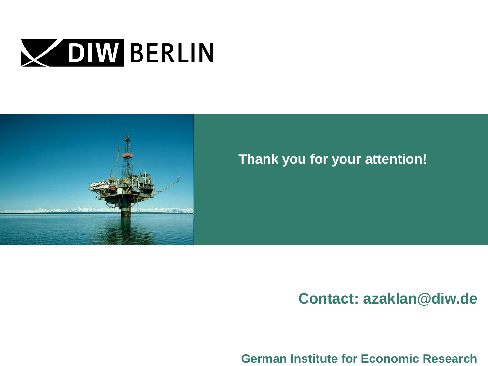



### **Thank you for your attention!**

### **Contact: azaklan@diw.de**

**German Institute for Economic Research**